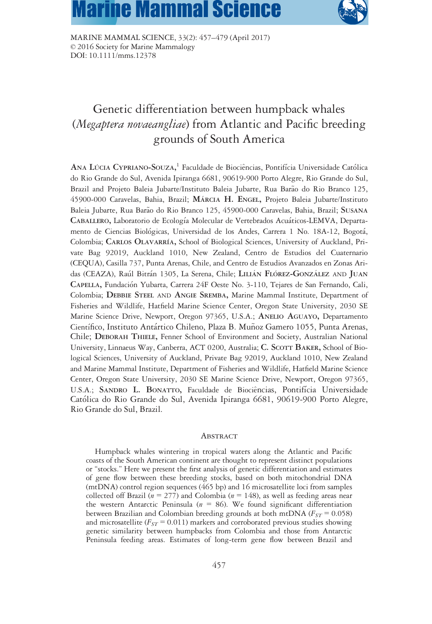# **Marine Mammal Science**



MARINE MAMMAL SCIENCE, 33(2): 457–479 (April 2017) © 2016 Society for Marine Mammalogy DOI: 10.1111/mms.12378

# Genetic differentiation between humpback whales (Megaptera novaeangliae) from Atlantic and Pacific breeding grounds of South America

ANA LÚCIA CYPRIANO-SOUZA,<sup>1</sup> Faculdade de Biociências, Pontifícia Universidade Católica do Rio Grande do Sul, Avenida Ipiranga 6681, 90619-900 Porto Alegre, Rio Grande do Sul, Brazil and Projeto Baleia Jubarte/Instituto Baleia Jubarte, Rua Barão do Rio Branco 125, 45900-000 Caravelas, Bahia, Brazil; MARCIA H. ENGEL, Projeto Baleia Jubarte/Instituto Baleia Jubarte, Rua Barão do Rio Branco 125, 45900-000 Caravelas, Bahia, Brazil; SUSANA CABALLERO, Laboratorio de Ecología Molecular de Vertebrados Acuáticos-LEMVA, Departamento de Ciencias Biologicas, Universidad de los Andes, Carrera 1 No. 18A-12, Bogota, Colombia; CARLOS OLAVARRIA, School of Biological Sciences, University of Auckland, Private Bag 92019, Auckland 1010, New Zealand, Centro de Estudios del Cuaternario (CEQUA), Casilla 737, Punta Arenas, Chile, and Centro de Estudios Avanzados en Zonas Aridas (CEAZA), Raúl Bitrán 1305, La Serena, Chile; LILIÁN FLÓREZ-GONZÁLEZ AND JUAN CAPELLA, Fundacion Yubarta, Carrera 24F Oeste No. 3-110, Tejares de San Fernando, Cali, Colombia; DEBBIE STEEL AND ANGIE SREMBA, Marine Mammal Institute, Department of Fisheries and Wildlife, Hatfield Marine Science Center, Oregon State University, 2030 SE Marine Science Drive, Newport, Oregon 97365, U.S.A.; ANELIO AGUAYO, Departamento Científico, Instituto Antártico Chileno, Plaza B. Muñoz Gamero 1055, Punta Arenas, Chile; DEBORAH THIELE, Fenner School of Environment and Society, Australian National University, Linnaeus Way, Canberra, ACT 0200, Australia; C. SCOTT BAKER, School of Biological Sciences, University of Auckland, Private Bag 92019, Auckland 1010, New Zealand and Marine Mammal Institute, Department of Fisheries and Wildlife, Hatfield Marine Science Center, Oregon State University, 2030 SE Marine Science Drive, Newport, Oregon 97365, U.S.A.; SANDRO L. BONATTO, Faculdade de Biociências, Pontifícia Universidade Catolica do Rio Grande do Sul, Avenida Ipiranga 6681, 90619-900 Porto Alegre, Rio Grande do Sul, Brazil.

## **ABSTRACT**

Humpback whales wintering in tropical waters along the Atlantic and Pacific coasts of the South American continent are thought to represent distinct populations or "stocks." Here we present the first analysis of genetic differentiation and estimates of gene flow between these breeding stocks, based on both mitochondrial DNA (mtDNA) control region sequences (465 bp) and 16 microsatellite loci from samples collected off Brazil ( $n = 277$ ) and Colombia ( $n = 148$ ), as well as feeding areas near the western Antarctic Peninsula ( $n = 86$ ). We found significant differentiation between Brazilian and Colombian breeding grounds at both mtDNA ( $F_{ST}$  = 0.058) and microsatellite ( $F_{ST}$  = 0.011) markers and corroborated previous studies showing genetic similarity between humpbacks from Colombia and those from Antarctic Peninsula feeding areas. Estimates of long-term gene flow between Brazil and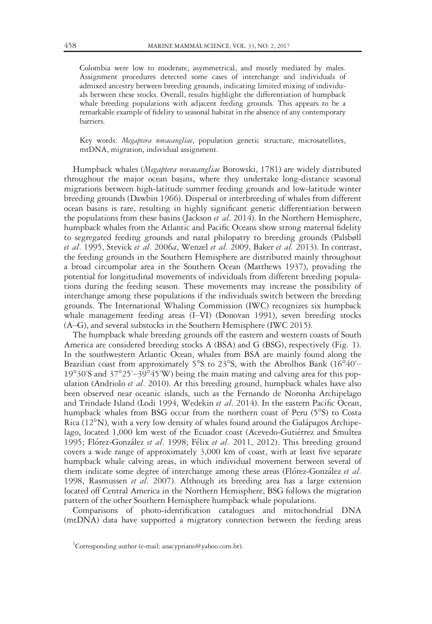Colombia were low to moderate, asymmetrical, and mostly mediated by males. Assignment procedures detected some cases of interchange and individuals of admixed ancestry between breeding grounds, indicating limited mixing of individuals between these stocks. Overall, results highlight the differentiation of humpback whale breeding populations with adjacent feeding grounds. This appears to be a remarkable example of fidelity to seasonal habitat in the absence of any contemporary barriers.

Key words: Megaptera novaeangliae, population genetic structure, microsatellites, mtDNA, migration, individual assignment.

Humpback whales (Megaptera novaeangliae Borowski, 1781) are widely distributed throughout the major ocean basins, where they undertake long-distance seasonal migrations between high-latitude summer feeding grounds and low-latitude winter breeding grounds (Dawbin 1966). Dispersal or interbreeding of whales from different ocean basins is rare, resulting in highly significant genetic differentiation between the populations from these basins (Jackson *et al.* 2014). In the Northern Hemisphere, humpback whales from the Atlantic and Pacific Oceans show strong maternal fidelity to segregated feeding grounds and natal philopatry to breeding grounds (Palsbøll et al. 1995, Stevick et al. 2006a, Wenzel et al. 2009, Baker et al. 2013). In contrast, the feeding grounds in the Southern Hemisphere are distributed mainly throughout a broad circumpolar area in the Southern Ocean (Matthews 1937), providing the potential for longitudinal movements of individuals from different breeding populations during the feeding season. These movements may increase the possibility of interchange among these populations if the individuals switch between the breeding grounds. The International Whaling Commission (IWC) recognizes six humpback whale management feeding areas (I–VI) (Donovan 1991), seven breeding stocks (A–G), and several substocks in the Southern Hemisphere (IWC 2015).

The humpback whale breeding grounds off the eastern and western coasts of South America are considered breeding stocks A (BSA) and G (BSG), respectively (Fig. 1). In the southwestern Atlantic Ocean, whales from BSA are mainly found along the Brazilian coast from approximately  $5^{\circ}S$  to  $23^{\circ}S$ , with the Abrolhos Bank (16 $^{\circ}40^{\prime}$ –  $19^{\circ}30^{\circ}$ S and  $37^{\circ}25'-39^{\circ}45'W$ ) being the main mating and calving area for this population (Andriolo et al. 2010). At this breeding ground, humpback whales have also been observed near oceanic islands, such as the Fernando de Noronha Archipelago and Trindade Island (Lodi 1994, Wedekin et al. 2014). In the eastern Pacific Ocean, humpback whales from BSG occur from the northern coast of Peru (5°S) to Costa Rica (12°N), with a very low density of whales found around the Galápagos Archipelago, located 1,000 km west of the Ecuador coast (Acevedo-Gutiérrez and Smultea 1995; Flórez-González et al. 1998; Félix et al. 2011, 2012). This breeding ground covers a wide range of approximately 3,000 km of coast, with at least five separate humpback whale calving areas, in which individual movement between several of them indicate some degree of interchange among these areas (Florez-Gonzalez *et al.*) 1998, Rasmussen et al. 2007). Although its breeding area has a large extension located off Central America in the Northern Hemisphere, BSG follows the migration pattern of the other Southern Hemisphere humpback whale populations.

Comparisons of photo-identification catalogues and mitochondrial DNA (mtDNA) data have supported a migratory connection between the feeding areas

<sup>&</sup>lt;sup>1</sup>Corresponding author (e-mail: [anacypriano@yahoo.com.br](mailto:anacypriano@yahoo.com.br)).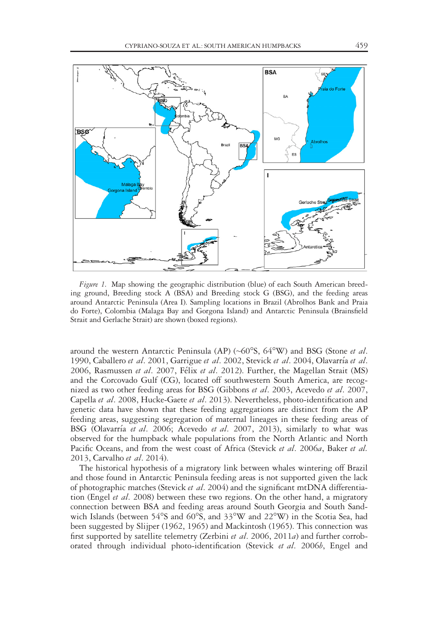

Figure 1. Map showing the geographic distribution (blue) of each South American breeding ground, Breeding stock A (BSA) and Breeding stock G (BSG), and the feeding areas around Antarctic Peninsula (Area I). Sampling locations in Brazil (Abrolhos Bank and Praia do Forte), Colombia (Malaga Bay and Gorgona Island) and Antarctic Peninsula (Brainsfield Strait and Gerlache Strait) are shown (boxed regions).

around the western Antarctic Peninsula (AP) ( $\sim$ 60°S, 64°W) and BSG (Stone *et al.* 1990, Caballero et al. 2001, Garrigue et al. 2002, Stevick et al. 2004, Olavarría et al. 2006, Rasmussen et al. 2007, Felix et al. 2012). Further, the Magellan Strait (MS) and the Corcovado Gulf (CG), located off southwestern South America, are recognized as two other feeding areas for BSG (Gibbons et al. 2003, Acevedo et al. 2007, Capella et al. 2008, Hucke-Gaete et al. 2013). Nevertheless, photo-identification and genetic data have shown that these feeding aggregations are distinct from the AP feeding areas, suggesting segregation of maternal lineages in these feeding areas of BSG (Olavarría et al. 2006; Acevedo et al. 2007, 2013), similarly to what was observed for the humpback whale populations from the North Atlantic and North Pacific Oceans, and from the west coast of Africa (Stevick et al. 2006a, Baker et al. 2013, Carvalho et al. 2014).

The historical hypothesis of a migratory link between whales wintering off Brazil and those found in Antarctic Peninsula feeding areas is not supported given the lack of photographic matches (Stevick et al. 2004) and the significant mtDNA differentiation (Engel et al. 2008) between these two regions. On the other hand, a migratory connection between BSA and feeding areas around South Georgia and South Sandwich Islands (between  $54^{\circ}$ S and  $60^{\circ}$ S, and  $33^{\circ}$ W and  $22^{\circ}$ W) in the Scotia Sea, had been suggested by Slijper (1962, 1965) and Mackintosh (1965). This connection was first supported by satellite telemetry (Zerbini et al. 2006, 2011a) and further corroborated through individual photo-identification (Stevick et al. 2006b, Engel and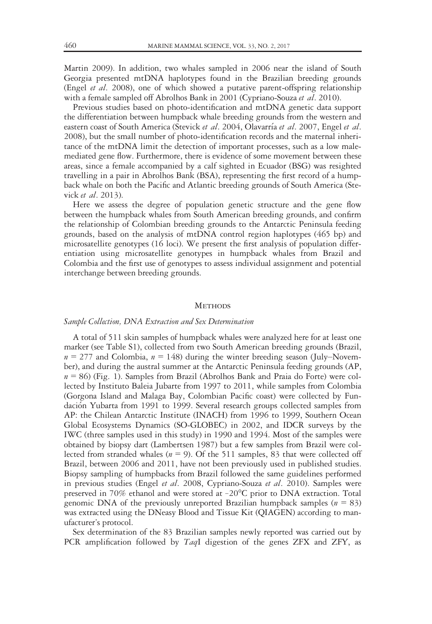Martin 2009). In addition, two whales sampled in 2006 near the island of South Georgia presented mtDNA haplotypes found in the Brazilian breeding grounds (Engel et al. 2008), one of which showed a putative parent-offspring relationship with a female sampled off Abrolhos Bank in 2001 (Cypriano-Souza et al. 2010).

Previous studies based on photo-identification and mtDNA genetic data support the differentiation between humpback whale breeding grounds from the western and eastern coast of South America (Stevick et al. 2004, Olavarría et al. 2007, Engel et al. 2008), but the small number of photo-identification records and the maternal inheritance of the mtDNA limit the detection of important processes, such as a low malemediated gene flow. Furthermore, there is evidence of some movement between these areas, since a female accompanied by a calf sighted in Ecuador (BSG) was resighted travelling in a pair in Abrolhos Bank (BSA), representing the first record of a humpback whale on both the Pacific and Atlantic breeding grounds of South America (Stevick et al. 2013).

Here we assess the degree of population genetic structure and the gene flow between the humpback whales from South American breeding grounds, and confirm the relationship of Colombian breeding grounds to the Antarctic Peninsula feeding grounds, based on the analysis of mtDNA control region haplotypes (465 bp) and microsatellite genotypes (16 loci). We present the first analysis of population differentiation using microsatellite genotypes in humpback whales from Brazil and Colombia and the first use of genotypes to assess individual assignment and potential interchange between breeding grounds.

#### **METHODS**

#### Sample Collection, DNA Extraction and Sex Determination

A total of 511 skin samples of humpback whales were analyzed here for at least one marker (see Table S1), collected from two South American breeding grounds (Brazil,  $n = 277$  and Colombia,  $n = 148$ ) during the winter breeding season (July–November), and during the austral summer at the Antarctic Peninsula feeding grounds (AP,  $n = 86$ ) (Fig. 1). Samples from Brazil (Abrolhos Bank and Praia do Forte) were collected by Instituto Baleia Jubarte from 1997 to 2011, while samples from Colombia (Gorgona Island and Malaga Bay, Colombian Pacific coast) were collected by Fundacion Yubarta from 1991 to 1999. Several research groups collected samples from AP: the Chilean Antarctic Institute (INACH) from 1996 to 1999, Southern Ocean Global Ecosystems Dynamics (SO-GLOBEC) in 2002, and IDCR surveys by the IWC (three samples used in this study) in 1990 and 1994. Most of the samples were obtained by biopsy dart (Lambertsen 1987) but a few samples from Brazil were collected from stranded whales ( $n = 9$ ). Of the 511 samples, 83 that were collected off Brazil, between 2006 and 2011, have not been previously used in published studies. Biopsy sampling of humpbacks from Brazil followed the same guidelines performed in previous studies (Engel et al. 2008, Cypriano-Souza et al. 2010). Samples were preserved in 70% ethanol and were stored at –20°C prior to DNA extraction. Total genomic DNA of the previously unreported Brazilian humpback samples ( $n = 83$ ) was extracted using the DNeasy Blood and Tissue Kit (QIAGEN) according to manufacturer's protocol.

Sex determination of the 83 Brazilian samples newly reported was carried out by PCR amplification followed by TaqI digestion of the genes ZFX and ZFY, as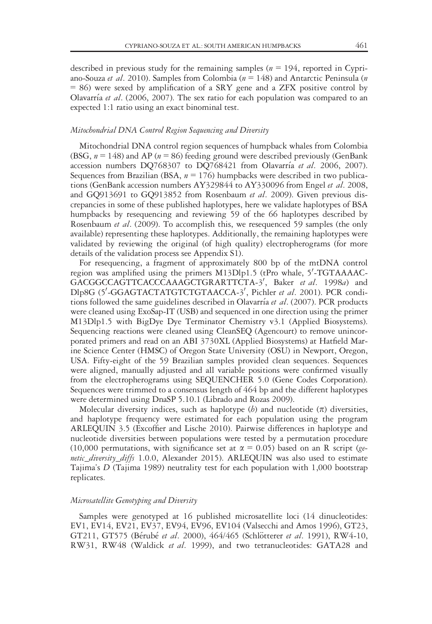described in previous study for the remaining samples ( $n = 194$ , reported in Cypriano-Souza et al. 2010). Samples from Colombia ( $n = 148$ ) and Antarctic Peninsula (n = 86) were sexed by amplification of a SRY gene and a ZFX positive control by Olavarría et al. (2006, 2007). The sex ratio for each population was compared to an expected 1:1 ratio using an exact binominal test.

#### Mitochondrial DNA Control Region Sequencing and Diversity

Mitochondrial DNA control region sequences of humpback whales from Colombia (BSG,  $n = 148$ ) and AP ( $n = 86$ ) feeding ground were described previously (GenBank accession numbers DQ768307 to DQ768421 from Olavarría et al. 2006, 2007). Sequences from Brazilian (BSA,  $n = 176$ ) humpbacks were described in two publications (GenBank accession numbers AY329844 to AY330096 from Engel *et al.* 2008, and GO913691 to GO913852 from Rosenbaum et al. 2009). Given previous discrepancies in some of these published haplotypes, here we validate haplotypes of BSA humpbacks by resequencing and reviewing 59 of the 66 haplotypes described by Rosenbaum et al. (2009). To accomplish this, we resequenced 59 samples (the only available) representing these haplotypes. Additionally, the remaining haplotypes were validated by reviewing the original (of high quality) electropherograms (for more details of the validation process see Appendix S1).

For resequencing, a fragment of approximately 800 bp of the mtDNA control region was amplified using the primers M13Dlp1.5 (tPro whale, 5'-TGTAAAAC-GACGGCCAGTTCACCCAAAGCTGRARTTCTA-3', Baker et al. 1998a) and Dlp8G (5'-GGAGTACTATGTCTGTAACCA-3', Pichler et al. 2001). PCR conditions followed the same guidelines described in Olavarría et al. (2007). PCR products were cleaned using ExoSap-IT (USB) and sequenced in one direction using the primer M13Dlp1.5 with BigDye Dye Terminator Chemistry v3.1 (Applied Biosystems). Sequencing reactions were cleaned using CleanSEQ (Agencourt) to remove unincorporated primers and read on an ABI 3730XL (Applied Biosystems) at Hatfield Marine Science Center (HMSC) of Oregon State University (OSU) in Newport, Oregon, USA. Fifty-eight of the 59 Brazilian samples provided clean sequences. Sequences were aligned, manually adjusted and all variable positions were confirmed visually from the electropherograms using SEQUENCHER 5.0 (Gene Codes Corporation). Sequences were trimmed to a consensus length of 464 bp and the different haplotypes were determined using DnaSP 5.10.1 (Librado and Rozas 2009).

Molecular diversity indices, such as haplotype  $(b)$  and nucleotide  $(\pi)$  diversities, and haplotype frequency were estimated for each population using the program ARLEQUIN 3.5 (Excoffier and Lische 2010). Pairwise differences in haplotype and nucleotide diversities between populations were tested by a permutation procedure (10,000 permutations, with significance set at  $\alpha = 0.05$ ) based on an R script (genetic\_diversity\_diffs 1.0.0, Alexander 2015). ARLEQUIN was also used to estimate Tajima's D (Tajima 1989) neutrality test for each population with 1,000 bootstrap replicates.

# Microsatellite Genotyping and Diversity

Samples were genotyped at 16 published microsatellite loci (14 dinucleotides: EV1, EV14, EV21, EV37, EV94, EV96, EV104 (Valsecchi and Amos 1996), GT23, GT211, GT575 (Bérubé et al. 2000), 464/465 (Schlötterer et al. 1991), RW4-10, RW31, RW48 (Waldick et al. 1999), and two tetranucleotides: GATA28 and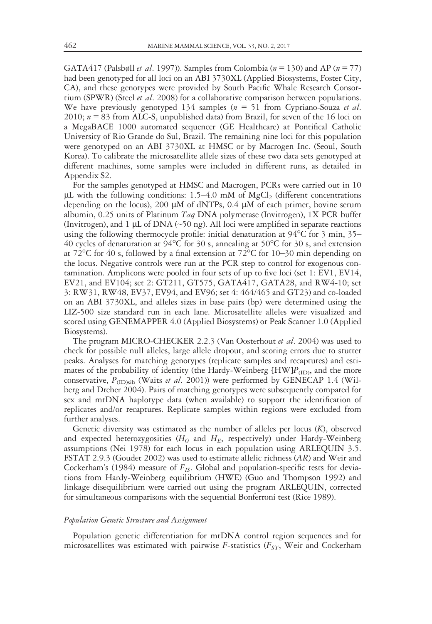GATA417 (Palsbøll et al. 1997)). Samples from Colombia ( $n = 130$ ) and AP ( $n = 77$ ) had been genotyped for all loci on an ABI 3730XL (Applied Biosystems, Foster City, CA), and these genotypes were provided by South Pacific Whale Research Consortium (SPWR) (Steel *et al.* 2008) for a collaborative comparison between populations. We have previously genotyped 134 samples ( $n = 51$  from Cypriano-Souza *et al.*) 2010;  $n = 83$  from ALC-S, unpublished data) from Brazil, for seven of the 16 loci on a MegaBACE 1000 automated sequencer (GE Healthcare) at Pontifical Catholic University of Rio Grande do Sul, Brazil. The remaining nine loci for this population were genotyped on an ABI 3730XL at HMSC or by Macrogen Inc. (Seoul, South Korea). To calibrate the microsatellite allele sizes of these two data sets genotyped at different machines, some samples were included in different runs, as detailed in Appendix S2.

For the samples genotyped at HMSC and Macrogen, PCRs were carried out in 10  $\mu$ L with the following conditions: 1.5–4.0 mM of MgCl<sub>2</sub> (different concentrations depending on the locus), 200  $\mu$ M of dNTPs, 0.4  $\mu$ M of each primer, bovine serum albumin, 0.25 units of Platinum  $Tag$  DNA polymerase (Invitrogen), 1X PCR buffer (Invitrogen), and 1 µL of DNA ( $\sim$ 50 ng). All loci were amplified in separate reactions using the following thermocycle profile: initial denaturation at 94°C for 3 min, 35– 40 cycles of denaturation at 94 $\rm{°C}$  for 30 s, annealing at 50 $\rm{°C}$  for 30 s, and extension at 72°C for 40 s, followed by a final extension at 72°C for 10–30 min depending on the locus. Negative controls were run at the PCR step to control for exogenous contamination. Amplicons were pooled in four sets of up to five loci (set 1: EV1, EV14, EV21, and EV104; set 2: GT211, GT575, GATA417, GATA28, and RW4-10; set 3: RW31, RW48, EV37, EV94, and EV96; set 4: 464/465 and GT23) and co-loaded on an ABI 3730XL, and alleles sizes in base pairs (bp) were determined using the LIZ-500 size standard run in each lane. Microsatellite alleles were visualized and scored using GENEMAPPER 4.0 (Applied Biosystems) or Peak Scanner 1.0 (Applied Biosystems).

The program MICRO-CHECKER 2.2.3 (Van Oosterhout et al. 2004) was used to check for possible null alleles, large allele dropout, and scoring errors due to stutter peaks. Analyses for matching genotypes (replicate samples and recaptures) and estimates of the probability of identity (the Hardy-Weinberg  $[HW]P_{(ID)}$ , and the more conservative,  $P_{\text{(ID)sib}}$  (Waits et al. 2001)) were performed by GENECAP 1.4 (Wilberg and Dreher 2004). Pairs of matching genotypes were subsequently compared for sex and mtDNA haplotype data (when available) to support the identification of replicates and/or recaptures. Replicate samples within regions were excluded from further analyses.

Genetic diversity was estimated as the number of alleles per locus  $(K)$ , observed and expected heterozygosities ( $H_0$  and  $H_E$ , respectively) under Hardy-Weinberg assumptions (Nei 1978) for each locus in each population using ARLEQUIN 3.5. FSTAT 2.9.3 (Goudet 2002) was used to estimate allelic richness (AR) and Weir and Cockerham's (1984) measure of  $F_{IS}$ . Global and population-specific tests for deviations from Hardy-Weinberg equilibrium (HWE) (Guo and Thompson 1992) and linkage disequilibrium were carried out using the program ARLEQUIN, corrected for simultaneous comparisons with the sequential Bonferroni test (Rice 1989).

#### Population Genetic Structure and Assignment

Population genetic differentiation for mtDNA control region sequences and for microsatellites was estimated with pairwise  $F$ -statistics ( $F_{ST}$ , Weir and Cockerham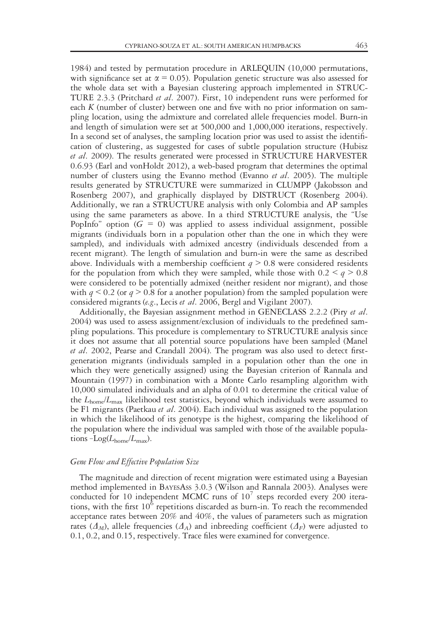1984) and tested by permutation procedure in ARLEQUIN (10,000 permutations, with significance set at  $\alpha = 0.05$ ). Population genetic structure was also assessed for the whole data set with a Bayesian clustering approach implemented in STRUC-TURE 2.3.3 (Pritchard et al. 2007). First, 10 independent runs were performed for each K (number of cluster) between one and five with no prior information on sampling location, using the admixture and correlated allele frequencies model. Burn-in and length of simulation were set at 500,000 and 1,000,000 iterations, respectively. In a second set of analyses, the sampling location prior was used to assist the identification of clustering, as suggested for cases of subtle population structure (Hubisz et al. 2009). The results generated were processed in STRUCTURE HARVESTER 0.6.93 (Earl and vonHoldt 2012), a web-based program that determines the optimal number of clusters using the Evanno method (Evanno et al. 2005). The multiple results generated by STRUCTURE were summarized in CLUMPP (Jakobsson and Rosenberg 2007), and graphically displayed by DISTRUCT (Rosenberg 2004). Additionally, we ran a STRUCTURE analysis with only Colombia and AP samples using the same parameters as above. In a third STRUCTURE analysis, the "Use PopInfo" option  $(G = 0)$  was applied to assess individual assignment, possible migrants (individuals born in a population other than the one in which they were sampled), and individuals with admixed ancestry (individuals descended from a recent migrant). The length of simulation and burn-in were the same as described above. Individuals with a membership coefficient  $q \geq 0.8$  were considered residents for the population from which they were sampled, while those with  $0.2 \leq q \geq 0.8$ were considered to be potentially admixed (neither resident nor migrant), and those with  $q \le 0.2$  (or  $q \ge 0.8$  for a another population) from the sampled population were considered migrants (e.g., Lecis et al. 2006, Bergl and Vigilant 2007).

Additionally, the Bayesian assignment method in GENECLASS 2.2.2 (Piry et al. 2004) was used to assess assignment/exclusion of individuals to the predefined sampling populations. This procedure is complementary to STRUCTURE analysis since it does not assume that all potential source populations have been sampled (Manel et al. 2002, Pearse and Crandall 2004). The program was also used to detect firstgeneration migrants (individuals sampled in a population other than the one in which they were genetically assigned) using the Bayesian criterion of Rannala and Mountain (1997) in combination with a Monte Carlo resampling algorithm with 10,000 simulated individuals and an alpha of 0.01 to determine the critical value of the  $L_{\text{home}}/L_{\text{max}}$  likelihood test statistics, beyond which individuals were assumed to be F1 migrants (Paetkau et al. 2004). Each individual was assigned to the population in which the likelihood of its genotype is the highest, comparing the likelihood of the population where the individual was sampled with those of the available populations  $-Log(L_{home}/L_{max})$ .

# Gene Flow and Effective Population Size

The magnitude and direction of recent migration were estimated using a Bayesian method implemented in BAYESASS 3.0.3 (Wilson and Rannala 2003). Analyses were conducted for 10 independent MCMC runs of  $10<sup>7</sup>$  steps recorded every 200 iterations, with the first  $10^6$  repetitions discarded as burn-in. To reach the recommended acceptance rates between 20% and 40%, the values of parameters such as migration rates ( $\Delta_M$ ), allele frequencies ( $\Delta_A$ ) and inbreeding coefficient ( $\Delta_F$ ) were adjusted to 0.1, 0.2, and 0.15, respectively. Trace files were examined for convergence.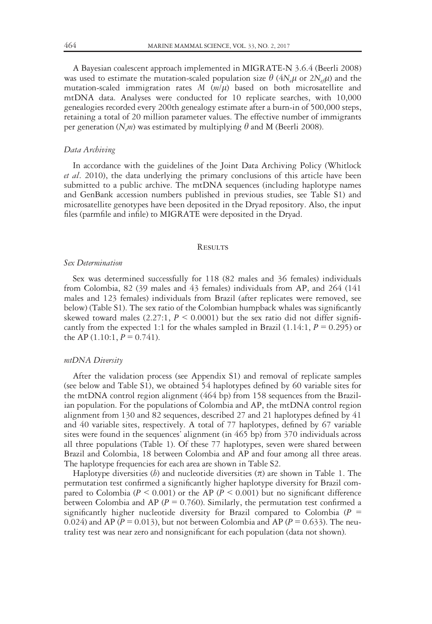A Bayesian coalescent approach implemented in MIGRATE-N 3.6.4 (Beerli 2008) was used to estimate the mutation-scaled population size  $\theta$  (4N<sub>e</sub> $\mu$  or 2N<sub>ef</sub> $\mu$ ) and the mutation-scaled immigration rates  $M(m/\mu)$  based on both microsatellite and mtDNA data. Analyses were conducted for 10 replicate searches, with 10,000 genealogies recorded every 200th genealogy estimate after a burn-in of 500,000 steps, retaining a total of 20 million parameter values. The effective number of immigrants per generation ( $N_{\ell}$ m) was estimated by multiplying  $\theta$  and M (Beerli 2008).

# Data Archiving

In accordance with the guidelines of the Joint Data Archiving Policy (Whitlock et al. 2010), the data underlying the primary conclusions of this article have been submitted to a public archive. The mtDNA sequences (including haplotype names and GenBank accession numbers published in previous studies, see Table S1) and microsatellite genotypes have been deposited in the Dryad repository. Also, the input files (parmfile and infile) to MIGRATE were deposited in the Dryad.

#### **RESULTS**

#### Sex Determination

Sex was determined successfully for 118 (82 males and 36 females) individuals from Colombia, 82 (39 males and 43 females) individuals from AP, and 264 (141 males and 123 females) individuals from Brazil (after replicates were removed, see below) (Table S1). The sex ratio of the Colombian humpback whales was significantly skewed toward males (2.27:1,  $P \le 0.0001$ ) but the sex ratio did not differ significantly from the expected 1:1 for the whales sampled in Brazil (1.14:1,  $P = 0.295$ ) or the AP (1.10:1,  $P = 0.741$ ).

# mtDNA Diversity

After the validation process (see Appendix S1) and removal of replicate samples (see below and Table S1), we obtained 54 haplotypes defined by 60 variable sites for the mtDNA control region alignment (464 bp) from 158 sequences from the Brazilian population. For the populations of Colombia and AP, the mtDNA control region alignment from 130 and 82 sequences, described 27 and 21 haplotypes defined by 41 and 40 variable sites, respectively. A total of 77 haplotypes, defined by 67 variable sites were found in the sequences' alignment (in 465 bp) from 370 individuals across all three populations (Table 1). Of these 77 haplotypes, seven were shared between Brazil and Colombia, 18 between Colombia and AP and four among all three areas. The haplotype frequencies for each area are shown in Table S2.

Haplotype diversities (*b*) and nucleotide diversities ( $\pi$ ) are shown in Table 1. The permutation test confirmed a significantly higher haplotype diversity for Brazil compared to Colombia ( $P \le 0.001$ ) or the AP ( $P \le 0.001$ ) but no significant difference between Colombia and AP ( $P = 0.760$ ). Similarly, the permutation test confirmed a significantly higher nucleotide diversity for Brazil compared to Colombia ( $P =$ 0.024) and AP ( $P = 0.013$ ), but not between Colombia and AP ( $P = 0.633$ ). The neutrality test was near zero and nonsignificant for each population (data not shown).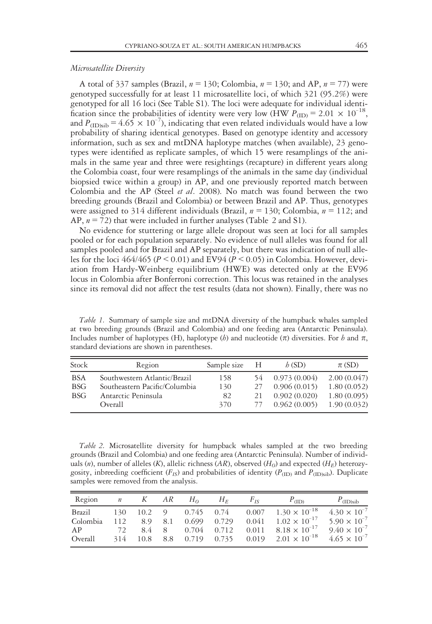## Microsatellite Diversity

A total of 337 samples (Brazil,  $n = 130$ ; Colombia,  $n = 130$ ; and AP,  $n = 77$ ) were genotyped successfully for at least 11 microsatellite loci, of which 321 (95.2%) were genotyped for all 16 loci (See Table S1). The loci were adequate for individual identification since the probabilities of identity were very low (HW  $P_{(ID)} = 2.01 \times 10^{-18}$ , and  $P_{\text{(ID)sib}} = 4.65 \times 10^{-7}$ ), indicating that even related individuals would have a low probability of sharing identical genotypes. Based on genotype identity and accessory information, such as sex and mtDNA haplotype matches (when available), 23 genotypes were identified as replicate samples, of which 15 were resamplings of the animals in the same year and three were resightings (recapture) in different years along the Colombia coast, four were resamplings of the animals in the same day (individual biopsied twice within a group) in AP, and one previously reported match between Colombia and the AP (Steel et al. 2008). No match was found between the two breeding grounds (Brazil and Colombia) or between Brazil and AP. Thus, genotypes were assigned to 314 different individuals (Brazil,  $n = 130$ ; Colombia,  $n = 112$ ; and AP,  $n = 72$ ) that were included in further analyses (Table 2 and S1).

No evidence for stuttering or large allele dropout was seen at loci for all samples pooled or for each population separately. No evidence of null alleles was found for all samples pooled and for Brazil and AP separately, but there was indication of null alleles for the loci  $464/465 (P \le 0.01)$  and EV94 ( $P \le 0.05$ ) in Colombia. However, deviation from Hardy-Weinberg equilibrium (HWE) was detected only at the EV96 locus in Colombia after Bonferroni correction. This locus was retained in the analyses since its removal did not affect the test results (data not shown). Finally, there was no

Table 1. Summary of sample size and mtDNA diversity of the humpback whales sampled at two breeding grounds (Brazil and Colombia) and one feeding area (Antarctic Peninsula). Includes number of haplotypes (H), haplotype (b) and nucleotide ( $\pi$ ) diversities. For h and  $\pi$ , standard deviations are shown in parentheses.

| Stock      | Region                        | Sample size | — Н | h(SD)        | $\pi$ (SD)  |
|------------|-------------------------------|-------------|-----|--------------|-------------|
| <b>BSA</b> | Southwestern Atlantic/Brazil  | 158         | 54  | 0.973(0.004) | 2.00(0.047) |
| <b>BSG</b> | Southeastern Pacific/Columbia | 130         | 27  | 0.906(0.015) | 1.80(0.052) |
| <b>BSG</b> | Antarctic Peninsula           | 82          | 21  | 0.902(0.020) | 1.80(0.095) |
|            | Overall                       | 370         |     | 0.962(0.005) | 1.90(0.032) |

Table 2. Microsatellite diversity for humpback whales sampled at the two breeding grounds (Brazil and Colombia) and one feeding area (Antarctic Peninsula). Number of individuals (n), number of alleles (K), allelic richness (AR), observed ( $H_0$ ) and expected ( $H_E$ ) heterozygosity, inbreeding coefficient ( $F_{I<sub>S</sub>}$ ) and probabilities of identity ( $P_{(ID)}$  and  $P_{(ID) \text{si}b}$ ). Duplicate samples were removed from the analysis.

| Region   | $\boldsymbol{n}$ |              | AR             | $H_{\alpha}$ | $H_F$         | Fis                    | $P_{(ID)}$                     | $P_{\text{(ID)sib}}$  |
|----------|------------------|--------------|----------------|--------------|---------------|------------------------|--------------------------------|-----------------------|
| Brazil   | 130              | 10.2         | 9 <sup>o</sup> |              |               | $0.745$ $0.74$ $0.007$ | $1.30 \times 10^{-18}$         | $4.30 \times 10^{-7}$ |
| Colombia | 112              | 8.9          | 8.1            |              | $0.699$ 0.729 | 0.041                  | $1.02 \times 10^{-17}$         | $5.90 \times 10^{-7}$ |
| AP       | 72               | 84           | - 8            |              | $0.704$ 0.712 |                        | $0.011$ $8.18 \times 10^{-17}$ | $9.40 \times 10^{-7}$ |
| Overall  |                  | 314 10.8 8.8 |                |              | 0.719 0.735   | 0.019                  | $2.01 \times 10^{-18}$         | $4.65 \times 10^{-7}$ |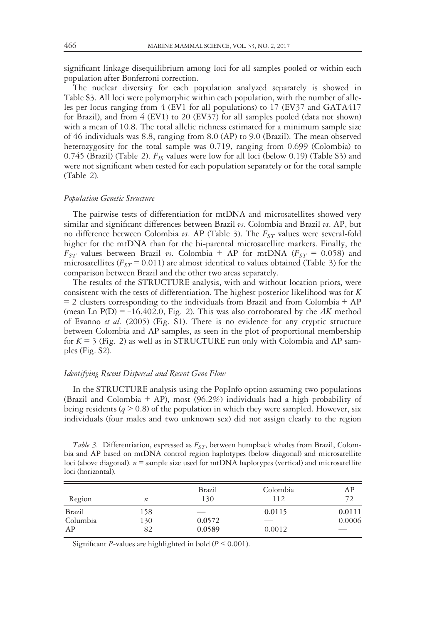significant linkage disequilibrium among loci for all samples pooled or within each population after Bonferroni correction.

The nuclear diversity for each population analyzed separately is showed in Table S3. All loci were polymorphic within each population, with the number of alleles per locus ranging from 4 (EV1 for all populations) to 17 (EV37 and GATA417 for Brazil), and from 4 (EV1) to 20 (EV37) for all samples pooled (data not shown) with a mean of 10.8. The total allelic richness estimated for a minimum sample size of 46 individuals was 8.8, ranging from 8.0 (AP) to 9.0 (Brazil). The mean observed heterozygosity for the total sample was 0.719, ranging from 0.699 (Colombia) to 0.745 (Brazil) (Table 2).  $F_{IS}$  values were low for all loci (below 0.19) (Table S3) and were not significant when tested for each population separately or for the total sample (Table 2).

#### Population Genetic Structure

The pairwise tests of differentiation for mtDNA and microsatellites showed very similar and significant differences between Brazil  $\psi$ . Colombia and Brazil  $\psi$ . AP, but no difference between Colombia vs. AP (Table 3). The  $F_{ST}$  values were several-fold higher for the mtDNA than for the bi-parental microsatellite markers. Finally, the  $F_{ST}$  values between Brazil vs. Colombia + AP for mtDNA ( $F_{ST}$  = 0.058) and microsatellites ( $F_{ST}$  = 0.011) are almost identical to values obtained (Table 3) for the comparison between Brazil and the other two areas separately.

The results of the STRUCTURE analysis, with and without location priors, were consistent with the tests of differentiation. The highest posterior likelihood was for  $K$  $= 2$  clusters corresponding to the individuals from Brazil and from Colombia  $+ AP$ (mean Ln  $P(D) = -16,402.0$ , Fig. 2). This was also corroborated by the  $\Delta K$  method of Evanno *et al.* (2005) (Fig. S1). There is no evidence for any cryptic structure between Colombia and AP samples, as seen in the plot of proportional membership for  $K = 3$  (Fig. 2) as well as in STRUCTURE run only with Colombia and AP samples (Fig. S2).

#### Identifying Recent Dispersal and Recent Gene Flow

In the STRUCTURE analysis using the PopInfo option assuming two populations (Brazil and Colombia + AP), most  $(96.2%)$  individuals had a high probability of being residents ( $q > 0.8$ ) of the population in which they were sampled. However, six individuals (four males and two unknown sex) did not assign clearly to the region

Table 3. Differentiation, expressed as  $F_{ST}$ , between humpback whales from Brazil, Colombia and AP based on mtDNA control region haplotypes (below diagonal) and microsatellite loci (above diagonal).  $n =$  sample size used for mtDNA haplotypes (vertical) and microsatellite loci (horizontal).

| Region   | $\boldsymbol{n}$ | Brazil<br>130 | Colombia<br>112 | ΑP<br>72 |
|----------|------------------|---------------|-----------------|----------|
| Brazil   | 158              | ___           | 0.0115          | 0.0111   |
| Columbia | 130              | 0.0572        | $-$             | 0.0006   |
| AP       | 82               | 0.0589        | 0.0012          |          |

Significant P-values are highlighted in bold ( $P \le 0.001$ ).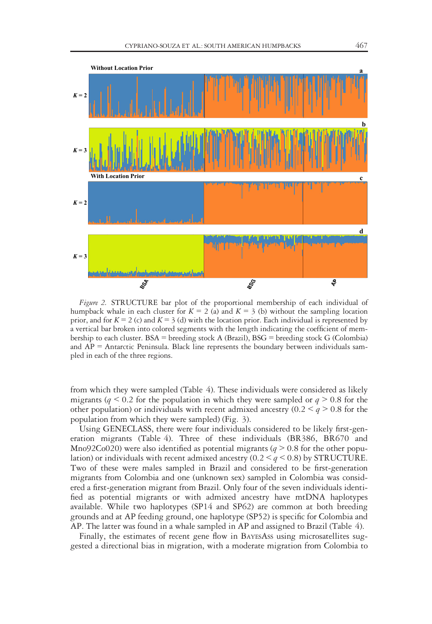

Figure 2. STRUCTURE bar plot of the proportional membership of each individual of humpback whale in each cluster for  $K = 2$  (a) and  $K = 3$  (b) without the sampling location prior, and for  $K = 2$  (c) and  $K = 3$  (d) with the location prior. Each individual is represented by a vertical bar broken into colored segments with the length indicating the coefficient of membership to each cluster. BSA = breeding stock A (Brazil), BSG = breeding stock G (Colombia) and  $AP =$  Antarctic Peninsula. Black line represents the boundary between individuals sampled in each of the three regions.

from which they were sampled (Table 4). These individuals were considered as likely migrants ( $q \le 0.2$  for the population in which they were sampled or  $q \ge 0.8$  for the other population) or individuals with recent admixed ancestry  $(0.2 \le q > 0.8$  for the population from which they were sampled) (Fig. 3).

Using GENECLASS, there were four individuals considered to be likely first-generation migrants (Table 4). Three of these individuals (BR386, BR670 and Mno92Co020) were also identified as potential migrants ( $q > 0.8$  for the other population) or individuals with recent admixed ancestry  $(0.2 \leq q \leq 0.8)$  by STRUCTURE. Two of these were males sampled in Brazil and considered to be first-generation migrants from Colombia and one (unknown sex) sampled in Colombia was considered a first-generation migrant from Brazil. Only four of the seven individuals identified as potential migrants or with admixed ancestry have mtDNA haplotypes available. While two haplotypes (SP14 and SP62) are common at both breeding grounds and at AP feeding ground, one haplotype (SP52) is specific for Colombia and AP. The latter was found in a whale sampled in AP and assigned to Brazil (Table 4).

Finally, the estimates of recent gene flow in BAYESASS using microsatellites suggested a directional bias in migration, with a moderate migration from Colombia to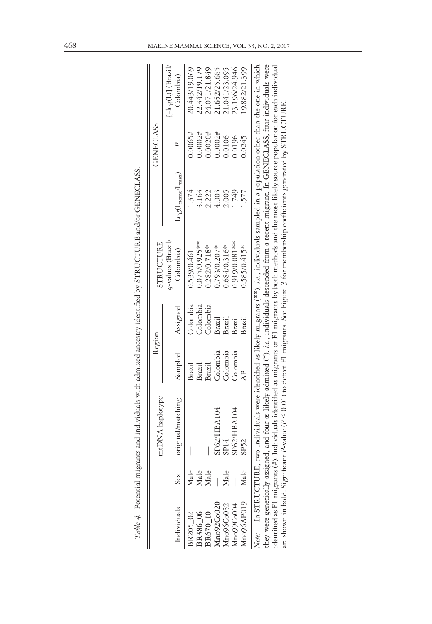|                                                                                   |      | mtDNA haplotype                                                                                                                                              | Region        |               | STRUCTURE                        |                                        | <b>GENECLASS</b> |                                   |
|-----------------------------------------------------------------------------------|------|--------------------------------------------------------------------------------------------------------------------------------------------------------------|---------------|---------------|----------------------------------|----------------------------------------|------------------|-----------------------------------|
| Individuals                                                                       | Sex  | original/matching                                                                                                                                            | Sampled       | Assigned      | $q$ -values (Brazil<br>Colombia) | $-Log(L_{\text{home}}/L_{\text{max}})$ |                  | $[-log(L)]$ (Brazil/<br>Colombia) |
|                                                                                   |      |                                                                                                                                                              |               |               |                                  |                                        |                  |                                   |
| 8R205_02                                                                          | Male |                                                                                                                                                              | Brazil        | Colombia      | 0.539/0.461                      | 1.374                                  | 0.0065#          | 20.443/19.069                     |
|                                                                                   | Male |                                                                                                                                                              | Brazil        | Colombia      | $0.075/0.925***$                 | 3.163                                  | $0.0002$ #       | 22.342/19.179                     |
| $\begin{array}{c} \tt{BR386\_06} \\ \tt{BR670\_10} \\ \tt{Mn92Co020} \end{array}$ | Male |                                                                                                                                                              | <b>Brazil</b> | Colombia      | $0.282/0.718*$                   | 2.222                                  | 0.0020           | 24.071/21.849                     |
|                                                                                   |      | SP62/HBA104                                                                                                                                                  | Colombia      | <b>Brazil</b> | 0.793/0.207*                     | 4.003                                  | $0.0002$ #       | 21.652/25.685                     |
| Mno96Co032                                                                        | Male | SPI4                                                                                                                                                         | Colombia      | Brazil        | $0.684/0.316*$                   | 2.005                                  | 0.0106           | 21.041/23.095                     |
| Ano99Co004                                                                        |      | SP62/HBA104                                                                                                                                                  | Colombia      | Brazil        | $0.919/0.081**$                  | 1.749                                  | 0.0196           | 23.196/24.946                     |
| <b>Mno96AP019</b>                                                                 | Male | SPS2                                                                                                                                                         |               | <b>Brazil</b> | $0.585/0.415*$                   | 1.577                                  | 0.0245           | 19.882/21.399                     |
| Note: In STRUCTURE,                                                               |      | two individuals were identified as likely migrants (**), <i>i.e.</i> , individuals sampled in a population other than the one in which                       |               |               |                                  |                                        |                  |                                   |
|                                                                                   |      | hey were genetically assigned, and four as likely admixed (*), i.e., individuals descended from a recent migrant. In GENECLASS, four individuals were        |               |               |                                  |                                        |                  |                                   |
|                                                                                   |      | dentified as F1 migrants $($ #). Individuals identified as migrants or F1 migrants by both methods and the most likely source population for each individual |               |               |                                  |                                        |                  |                                   |
|                                                                                   |      | are shown in bold. Significant P-value (P < 0.01) to detect F1 migrants. See Figure 3 for membership coefficients generated by STRUCTURE                     |               |               |                                  |                                        |                  |                                   |

Table 4. Potential migrants and individuals with admixed ancestry identified by STRUCTURE and/or GENECLASS.

Table 4. Potential migrants and individuals with admixed ancestry identified by STRUCTURE and/or GENECLASS.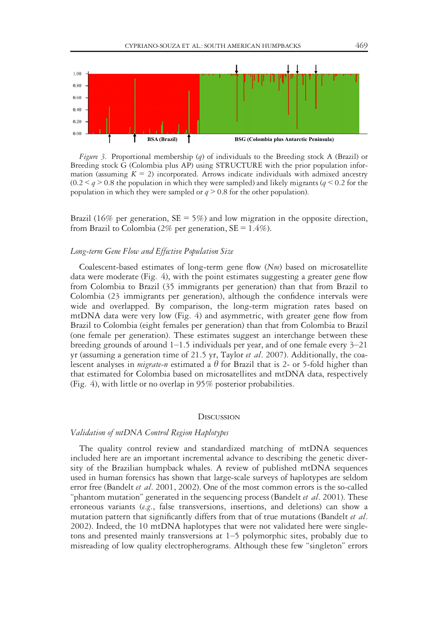

Figure 3. Proportional membership (q) of individuals to the Breeding stock A (Brazil) or Breeding stock G (Colombia plus AP) using STRUCTURE with the prior population information (assuming  $K = 2$ ) incorporated. Arrows indicate individuals with admixed ancestry  $(0.2 \leq q > 0.8$  the population in which they were sampled) and likely migrants  $(q \leq 0.2$  for the population in which they were sampled or  $q > 0.8$  for the other population).

Brazil (16% per generation,  $SE = 5\%$ ) and low migration in the opposite direction, from Brazil to Colombia (2% per generation,  $SE = 1.4\%$ ).

# Long-term Gene Flow and Effective Population Size

Coalescent-based estimates of long-term gene flow (Nm) based on microsatellite data were moderate (Fig. 4), with the point estimates suggesting a greater gene flow from Colombia to Brazil (35 immigrants per generation) than that from Brazil to Colombia (23 immigrants per generation), although the confidence intervals were wide and overlapped. By comparison, the long-term migration rates based on mtDNA data were very low (Fig. 4) and asymmetric, with greater gene flow from Brazil to Colombia (eight females per generation) than that from Colombia to Brazil (one female per generation). These estimates suggest an interchange between these breeding grounds of around  $1-1.5$  individuals per year, and of one female every  $3-21$ yr (assuming a generation time of 21.5 yr, Taylor et al. 2007). Additionally, the coalescent analyses in *migrate-n* estimated a  $\theta$  for Brazil that is 2- or 5-fold higher than that estimated for Colombia based on microsatellites and mtDNA data, respectively (Fig. 4), with little or no overlap in 95% posterior probabilities.

#### **DISCUSSION**

#### Validation of mtDNA Control Region Haplotypes

The quality control review and standardized matching of mtDNA sequences included here are an important incremental advance to describing the genetic diversity of the Brazilian humpback whales. A review of published mtDNA sequences used in human forensics has shown that large-scale surveys of haplotypes are seldom error free (Bandelt et al. 2001, 2002). One of the most common errors is the so-called "phantom mutation" generated in the sequencing process (Bandelt et al. 2001). These erroneous variants (e.g., false transversions, insertions, and deletions) can show a mutation pattern that significantly differs from that of true mutations (Bandelt et al. 2002). Indeed, the 10 mtDNA haplotypes that were not validated here were singletons and presented mainly transversions at 1–5 polymorphic sites, probably due to misreading of low quality electropherograms. Although these few "singleton" errors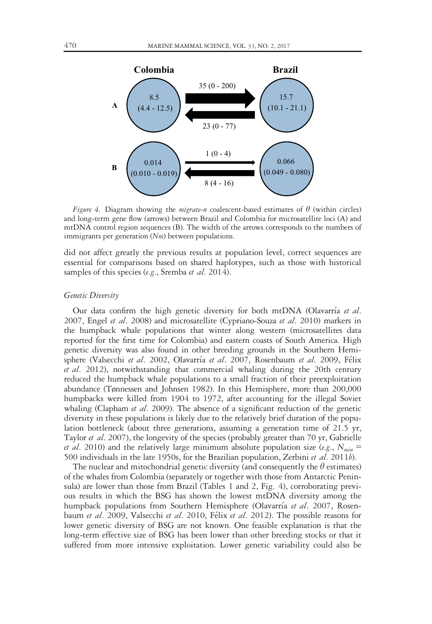

Figure 4. Diagram showing the *migrate-n* coalescent-based estimates of  $\theta$  (within circles) and long-term gene flow (arrows) between Brazil and Colombia for microsatellite loci (A) and mtDNA control region sequences (B). The width of the arrows corresponds to the numbers of immigrants per generation  $(Nm)$  between populations.

did not affect greatly the previous results at population level, correct sequences are essential for comparisons based on shared haplotypes, such as those with historical samples of this species (e.g., Sremba et al. 2014).

#### Genetic Diversity

Our data confirm the high genetic diversity for both mtDNA (Olavarría et al. 2007, Engel et al. 2008) and microsatellite (Cypriano-Souza et al. 2010) markers in the humpback whale populations that winter along western (microsatellites data reported for the first time for Colombia) and eastern coasts of South America. High genetic diversity was also found in other breeding grounds in the Southern Hemisphere (Valsecchi et al. 2002, Olavarría et al. 2007, Rosenbaum et al. 2009, Félix et al. 2012), notwithstanding that commercial whaling during the 20th century reduced the humpback whale populations to a small fraction of their preexploitation abundance (Tønnessen and Johnsen 1982). In this Hemisphere, more than 200,000 humpbacks were killed from 1904 to 1972, after accounting for the illegal Soviet whaling (Clapham et al. 2009). The absence of a significant reduction of the genetic diversity in these populations is likely due to the relatively brief duration of the population bottleneck (about three generations, assuming a generation time of 21.5 yr, Taylor et al. 2007), the longevity of the species (probably greater than 70 yr, Gabrielle *et al.* 2010) and the relatively large minimum absolute population size (e.g.,  $N_{min}$  = 500 individuals in the late 1950s, for the Brazilian population, Zerbini et al. 2011b).

The nuclear and mitochondrial genetic diversity (and consequently the  $\theta$  estimates) of the whales from Colombia (separately or together with those from Antarctic Peninsula) are lower than those from Brazil (Tables 1 and 2, Fig. 4), corroborating previous results in which the BSG has shown the lowest mtDNA diversity among the humpback populations from Southern Hemisphere (Olavarría et al. 2007, Rosenbaum et al. 2009, Valsecchi et al. 2010, Félix et al. 2012). The possible reasons for lower genetic diversity of BSG are not known. One feasible explanation is that the long-term effective size of BSG has been lower than other breeding stocks or that it suffered from more intensive exploitation. Lower genetic variability could also be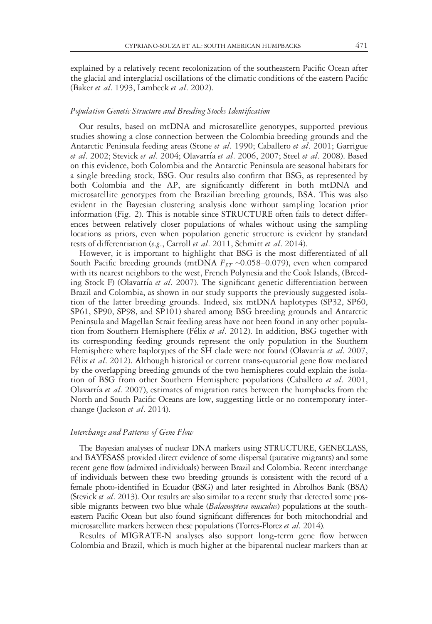explained by a relatively recent recolonization of the southeastern Pacific Ocean after the glacial and interglacial oscillations of the climatic conditions of the eastern Pacific (Baker et al. 1993, Lambeck et al. 2002).

#### Population Genetic Structure and Breeding Stocks Identification

Our results, based on mtDNA and microsatellite genotypes, supported previous studies showing a close connection between the Colombia breeding grounds and the Antarctic Peninsula feeding areas (Stone et al. 1990; Caballero et al. 2001; Garrigue et al. 2002; Stevick et al. 2004; Olavarría et al. 2006, 2007; Steel et al. 2008). Based on this evidence, both Colombia and the Antarctic Peninsula are seasonal habitats for a single breeding stock, BSG. Our results also confirm that BSG, as represented by both Colombia and the AP, are significantly different in both mtDNA and microsatellite genotypes from the Brazilian breeding grounds, BSA. This was also evident in the Bayesian clustering analysis done without sampling location prior information (Fig. 2). This is notable since STRUCTURE often fails to detect differences between relatively closer populations of whales without using the sampling locations as priors, even when population genetic structure is evident by standard tests of differentiation (e.g., Carroll et al. 2011, Schmitt et al. 2014).

However, it is important to highlight that BSG is the most differentiated of all South Pacific breeding grounds (mtDNA  $F_{ST} \sim 0.058 - 0.079$ ), even when compared with its nearest neighbors to the west, French Polynesia and the Cook Islands, (Breeding Stock F) (Olavarría et al. 2007). The significant genetic differentiation between Brazil and Colombia, as shown in our study supports the previously suggested isolation of the latter breeding grounds. Indeed, six mtDNA haplotypes (SP32, SP60, SP61, SP90, SP98, and SP101) shared among BSG breeding grounds and Antarctic Peninsula and Magellan Strait feeding areas have not been found in any other population from Southern Hemisphere (Félix et al. 2012). In addition, BSG together with its corresponding feeding grounds represent the only population in the Southern Hemisphere where haplotypes of the SH clade were not found (Olavarría *et al.* 2007, Félix et al. 2012). Although historical or current trans-equatorial gene flow mediated by the overlapping breeding grounds of the two hemispheres could explain the isolation of BSG from other Southern Hemisphere populations (Caballero et al. 2001, Olavarría et al. 2007), estimates of migration rates between the humpbacks from the North and South Pacific Oceans are low, suggesting little or no contemporary interchange (Jackson et al. 2014).

#### Interchange and Patterns of Gene Flow

The Bayesian analyses of nuclear DNA markers using STRUCTURE, GENECLASS, and BAYESASS provided direct evidence of some dispersal (putative migrants) and some recent gene flow (admixed individuals) between Brazil and Colombia. Recent interchange of individuals between these two breeding grounds is consistent with the record of a female photo-identified in Ecuador (BSG) and later resighted in Abrolhos Bank (BSA) (Stevick et al. 2013). Our results are also similar to a recent study that detected some possible migrants between two blue whale (*Balaenoptera musculus*) populations at the southeastern Pacific Ocean but also found significant differences for both mitochondrial and microsatellite markers between these populations (Torres-Florez et al. 2014).

Results of MIGRATE-N analyses also support long-term gene flow between Colombia and Brazil, which is much higher at the biparental nuclear markers than at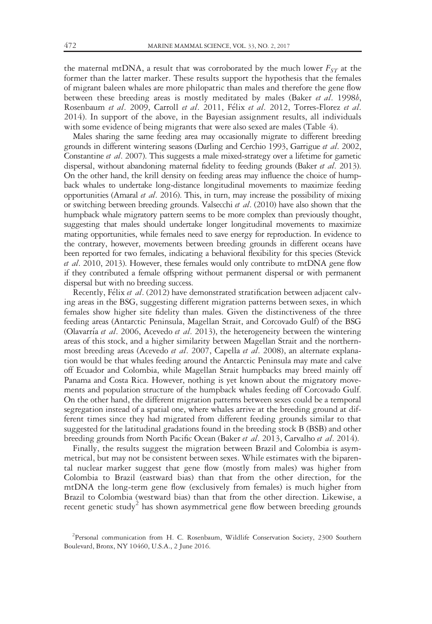the maternal mtDNA, a result that was corroborated by the much lower  $F_{ST}$  at the former than the latter marker. These results support the hypothesis that the females of migrant baleen whales are more philopatric than males and therefore the gene flow between these breeding areas is mostly meditated by males (Baker et al. 1998b, Rosenbaum et al. 2009, Carroll et al. 2011, Félix et al. 2012, Torres-Florez et al. 2014). In support of the above, in the Bayesian assignment results, all individuals with some evidence of being migrants that were also sexed are males (Table 4).

Males sharing the same feeding area may occasionally migrate to different breeding grounds in different wintering seasons (Darling and Cerchio 1993, Garrigue et al. 2002, Constantine et al. 2007). This suggests a male mixed-strategy over a lifetime for gametic dispersal, without abandoning maternal fidelity to feeding grounds (Baker et al. 2013). On the other hand, the krill density on feeding areas may influence the choice of humpback whales to undertake long-distance longitudinal movements to maximize feeding opportunities (Amaral et al. 2016). This, in turn, may increase the possibility of mixing or switching between breeding grounds. Valsecchi et al. (2010) have also shown that the humpback whale migratory pattern seems to be more complex than previously thought, suggesting that males should undertake longer longitudinal movements to maximize mating opportunities, while females need to save energy for reproduction. In evidence to the contrary, however, movements between breeding grounds in different oceans have been reported for two females, indicating a behavioral flexibility for this species (Stevick et al. 2010, 2013). However, these females would only contribute to mtDNA gene flow if they contributed a female offspring without permanent dispersal or with permanent dispersal but with no breeding success.

Recently, Félix et al. (2012) have demonstrated stratification between adjacent calving areas in the BSG, suggesting different migration patterns between sexes, in which females show higher site fidelity than males. Given the distinctiveness of the three feeding areas (Antarctic Peninsula, Magellan Strait, and Corcovado Gulf) of the BSG (Olavarría et al. 2006, Acevedo et al. 2013), the heterogeneity between the wintering areas of this stock, and a higher similarity between Magellan Strait and the northernmost breeding areas (Acevedo et al. 2007, Capella et al. 2008), an alternate explanation would be that whales feeding around the Antarctic Peninsula may mate and calve off Ecuador and Colombia, while Magellan Strait humpbacks may breed mainly off Panama and Costa Rica. However, nothing is yet known about the migratory movements and population structure of the humpback whales feeding off Corcovado Gulf. On the other hand, the different migration patterns between sexes could be a temporal segregation instead of a spatial one, where whales arrive at the breeding ground at different times since they had migrated from different feeding grounds similar to that suggested for the latitudinal gradations found in the breeding stock B (BSB) and other breeding grounds from North Pacific Ocean (Baker et al. 2013, Carvalho et al. 2014).

Finally, the results suggest the migration between Brazil and Colombia is asymmetrical, but may not be consistent between sexes. While estimates with the biparental nuclear marker suggest that gene flow (mostly from males) was higher from Colombia to Brazil (eastward bias) than that from the other direction, for the mtDNA the long-term gene flow (exclusively from females) is much higher from Brazil to Colombia (westward bias) than that from the other direction. Likewise, a recent genetic study<sup>2</sup> has shown asymmetrical gene flow between breeding grounds

<sup>&</sup>lt;sup>2</sup> Personal communication from H. C. Rosenbaum, Wildlife Conservation Society, 2300 Southern Boulevard, Bronx, NY 10460, U.S.A., 2 June 2016.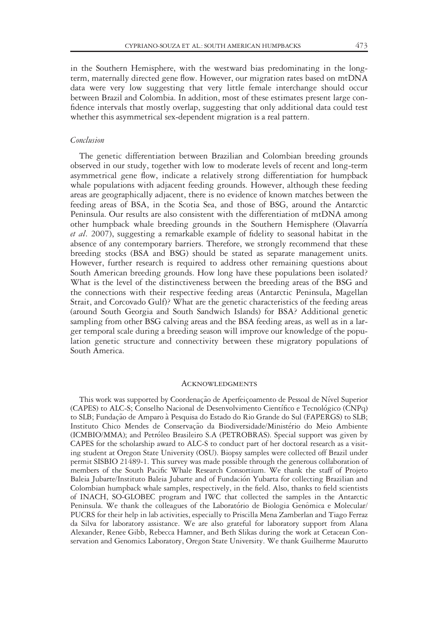in the Southern Hemisphere, with the westward bias predominating in the longterm, maternally directed gene flow. However, our migration rates based on mtDNA data were very low suggesting that very little female interchange should occur between Brazil and Colombia. In addition, most of these estimates present large confidence intervals that mostly overlap, suggesting that only additional data could test whether this asymmetrical sex-dependent migration is a real pattern.

#### Conclusion

The genetic differentiation between Brazilian and Colombian breeding grounds observed in our study, together with low to moderate levels of recent and long-term asymmetrical gene flow, indicate a relatively strong differentiation for humpback whale populations with adjacent feeding grounds. However, although these feeding areas are geographically adjacent, there is no evidence of known matches between the feeding areas of BSA, in the Scotia Sea, and those of BSG, around the Antarctic Peninsula. Our results are also consistent with the differentiation of mtDNA among other humpback whale breeding grounds in the Southern Hemisphere (Olavarrıa et al. 2007), suggesting a remarkable example of fidelity to seasonal habitat in the absence of any contemporary barriers. Therefore, we strongly recommend that these breeding stocks (BSA and BSG) should be stated as separate management units. However, further research is required to address other remaining questions about South American breeding grounds. How long have these populations been isolated? What is the level of the distinctiveness between the breeding areas of the BSG and the connections with their respective feeding areas (Antarctic Peninsula, Magellan Strait, and Corcovado Gulf)? What are the genetic characteristics of the feeding areas (around South Georgia and South Sandwich Islands) for BSA? Additional genetic sampling from other BSG calving areas and the BSA feeding areas, as well as in a larger temporal scale during a breeding season will improve our knowledge of the population genetic structure and connectivity between these migratory populations of South America.

#### **ACKNOWLEDGMENTS**

This work was supported by Coordenação de Aperfeiçoamento de Pessoal de Nível Superior (CAPES) to ALC-S; Conselho Nacional de Desenvolvimento Cientıfico e Tecnologico (CNPq) to SLB; Fundação de Amparo à Pesquisa do Estado do Rio Grande do Sul (FAPERGS) to SLB; Instituto Chico Mendes de Conservação da Biodiversidade/Ministério do Meio Ambiente (ICMBIO/MMA); and Petroleo Brasileiro S.A (PETROBRAS). Special support was given by CAPES for the scholarship award to ALC-S to conduct part of her doctoral research as a visiting student at Oregon State University (OSU). Biopsy samples were collected off Brazil under permit SISBIO 21489-1. This survey was made possible through the generous collaboration of members of the South Pacific Whale Research Consortium. We thank the staff of Projeto Baleia Jubarte/Instituto Baleia Jubarte and of Fundación Yubarta for collecting Brazilian and Colombian humpback whale samples, respectively, in the field. Also, thanks to field scientists of INACH, SO-GLOBEC program and IWC that collected the samples in the Antarctic Peninsula. We thank the colleagues of the Laboratório de Biologia Genômica e Molecular/ PUCRS for their help in lab activities, especially to Priscilla Mena Zamberlan and Tiago Ferraz da Silva for laboratory assistance. We are also grateful for laboratory support from Alana Alexander, Renee Gibb, Rebecca Hamner, and Beth Slikas during the work at Cetacean Conservation and Genomics Laboratory, Oregon State University. We thank Guilherme Maurutto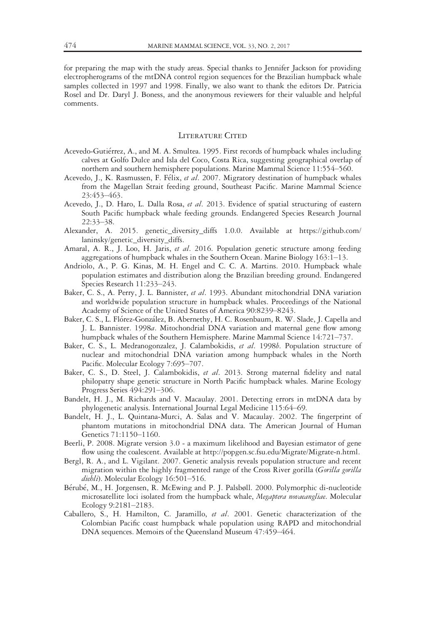for preparing the map with the study areas. Special thanks to Jennifer Jackson for providing electropherograms of the mtDNA control region sequences for the Brazilian humpback whale samples collected in 1997 and 1998. Finally, we also want to thank the editors Dr. Patricia Rosel and Dr. Daryl J. Boness, and the anonymous reviewers for their valuable and helpful comments.

# LITERATURE CITED

- Acevedo-Gutierrez, A., and M. A. Smultea. 1995. First records of humpback whales including calves at Golfo Dulce and Isla del Coco, Costa Rica, suggesting geographical overlap of northern and southern hemisphere populations. Marine Mammal Science 11:554–560.
- Acevedo, J., K. Rasmussen, F. Félix, et al. 2007. Migratory destination of humpback whales from the Magellan Strait feeding ground, Southeast Pacific. Marine Mammal Science 23:453–463.
- Acevedo, J., D. Haro, L. Dalla Rosa, et al. 2013. Evidence of spatial structuring of eastern South Pacific humpback whale feeding grounds. Endangered Species Research Journal 22:33–38.
- Alexander, A. 2015. genetic\_diversity\_diffs 1.0.0. Available at [https://github.com/](https://github.com/laninsky/genetic_diversity_diffs) [laninsky/genetic\\_diversity\\_diffs](https://github.com/laninsky/genetic_diversity_diffs).
- Amaral, A. R., J. Loo, H. Jaris, et al. 2016. Population genetic structure among feeding aggregations of humpback whales in the Southern Ocean. Marine Biology 163:1–13.
- Andriolo, A., P. G. Kinas, M. H. Engel and C. C. A. Martins. 2010. Humpback whale population estimates and distribution along the Brazilian breeding ground. Endangered Species Research 11:233–243.
- Baker, C. S., A. Perry, J. L. Bannister, et al. 1993. Abundant mitochondrial DNA variation and worldwide population structure in humpback whales. Proceedings of the National Academy of Science of the United States of America 90:8239–8243.
- Baker, C. S., L. Flórez-González, B. Abernethy, H. C. Rosenbaum, R. W. Slade, J. Capella and J. L. Bannister. 1998a. Mitochondrial DNA variation and maternal gene flow among humpback whales of the Southern Hemisphere. Marine Mammal Science 14:721–737.
- Baker, C. S., L. Medranogonzalez, J. Calambokidis, et al. 1998b. Population structure of nuclear and mitochondrial DNA variation among humpback whales in the North Pacific. Molecular Ecology 7:695–707.
- Baker, C. S., D. Steel, J. Calambokidis, et al. 2013. Strong maternal fidelity and natal philopatry shape genetic structure in North Pacific humpback whales. Marine Ecology Progress Series 494:291–306.
- Bandelt, H. J., M. Richards and V. Macaulay. 2001. Detecting errors in mtDNA data by phylogenetic analysis. International Journal Legal Medicine 115:64–69.
- Bandelt, H. J., L. Quintana-Murci, A. Salas and V. Macaulay. 2002. The fingerprint of phantom mutations in mitochondrial DNA data. The American Journal of Human Genetics 71:1150–1160.
- Beerli, P. 2008. Migrate version 3.0 a maximum likelihood and Bayesian estimator of gene flow using the coalescent. Available at [http://popgen.sc.fsu.edu/Migrate/Migrate-n.html.](http://popgen.sc.fsu.edu/Migrate/Migrate-n.html)
- Bergl, R. A., and L. Vigilant. 2007. Genetic analysis reveals population structure and recent migration within the highly fragmented range of the Cross River gorilla (Gorilla gorilla diehli). Molecular Ecology 16:501-516.
- Bérubé, M., H. Jorgensen, R. McEwing and P. J. Palsbøll. 2000. Polymorphic di-nucleotide microsatellite loci isolated from the humpback whale, Megaptera novaeangliae. Molecular Ecology 9:2181–2183.
- Caballero, S., H. Hamilton, C. Jaramillo, et al. 2001. Genetic characterization of the Colombian Pacific coast humpback whale population using RAPD and mitochondrial DNA sequences. Memoirs of the Queensland Museum 47:459–464.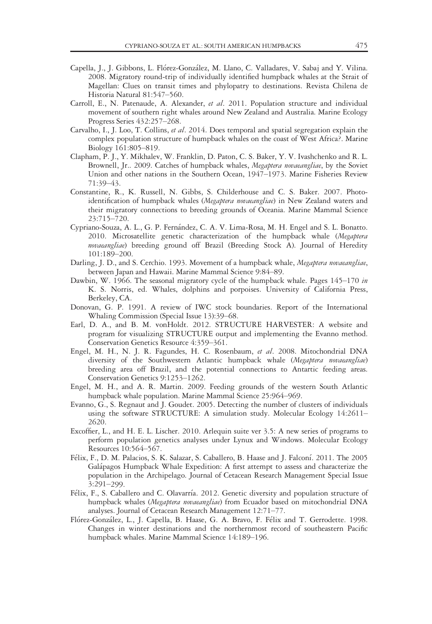- Capella, J., J. Gibbons, L. Florez-Gonzalez, M. Llano, C. Valladares, V. Sabaj and Y. Vilina. 2008. Migratory round-trip of individually identified humpback whales at the Strait of Magellan: Clues on transit times and phylopatry to destinations. Revista Chilena de Historia Natural 81:547–560.
- Carroll, E., N. Patenaude, A. Alexander, et al. 2011. Population structure and individual movement of southern right whales around New Zealand and Australia. Marine Ecology Progress Series 432:257–268.
- Carvalho, I., J. Loo, T. Collins, et al. 2014. Does temporal and spatial segregation explain the complex population structure of humpback whales on the coast of West Africa?. Marine Biology 161:805–819.
- Clapham, P. J., Y. Mikhalev, W. Franklin, D. Paton, C. S. Baker, Y. V. Ivashchenko and R. L. Brownell, Jr.. 2009. Catches of humpback whales, Megaptera novaeangliae, by the Soviet Union and other nations in the Southern Ocean, 1947–1973. Marine Fisheries Review 71:39–43.
- Constantine, R., K. Russell, N. Gibbs, S. Childerhouse and C. S. Baker. 2007. Photoidentification of humpback whales (Megaptera novaeangliae) in New Zealand waters and their migratory connections to breeding grounds of Oceania. Marine Mammal Science 23:715–720.
- Cypriano-Souza, A. L., G. P. Fernandez, C. A. V. Lima-Rosa, M. H. Engel and S. L. Bonatto. 2010. Microsatellite genetic characterization of the humpback whale (Megaptera novaeangliae) breeding ground off Brazil (Breeding Stock A). Journal of Heredity 101:189–200.
- Darling, J. D., and S. Cerchio. 1993. Movement of a humpback whale, Megaptera novaeangliae, between Japan and Hawaii. Marine Mammal Science 9:84–89.
- Dawbin, W. 1966. The seasonal migratory cycle of the humpback whale. Pages 145–170 in K. S. Norris, ed. Whales, dolphins and porpoises. University of California Press, Berkeley, CA.
- Donovan, G. P. 1991. A review of IWC stock boundaries. Report of the International Whaling Commission (Special Issue 13):39–68.
- Earl, D. A., and B. M. vonHoldt. 2012. STRUCTURE HARVESTER: A website and program for visualizing STRUCTURE output and implementing the Evanno method. Conservation Genetics Resource 4:359–361.
- Engel, M. H., N. J. R. Fagundes, H. C. Rosenbaum, et al. 2008. Mitochondrial DNA diversity of the Southwestern Atlantic humpback whale (Megaptera novaeangliae) breeding area off Brazil, and the potential connections to Antartic feeding areas. Conservation Genetics 9:1253–1262.
- Engel, M. H., and A. R. Martin. 2009. Feeding grounds of the western South Atlantic humpback whale population. Marine Mammal Science 25:964–969.
- Evanno, G., S. Regnaut and J. Goudet. 2005. Detecting the number of clusters of individuals using the software STRUCTURE: A simulation study. Molecular Ecology 14:2611– 2620.
- Excoffier, L., and H. E. L. Lischer. 2010. Arlequin suite ver 3.5: A new series of programs to perform population genetics analyses under Lynux and Windows. Molecular Ecology Resources 10:564–567.
- Felix, F., D. M. Palacios, S. K. Salazar, S. Caballero, B. Haase and J. Falconı. 2011. The 2005 Galapagos Humpback Whale Expedition: A first attempt to assess and characterize the population in the Archipelago. Journal of Cetacean Research Management Special Issue 3:291–299.
- Félix, F., S. Caballero and C. Olavarría. 2012. Genetic diversity and population structure of humpback whales (Megaptera novaeangliae) from Ecuador based on mitochondrial DNA analyses. Journal of Cetacean Research Management 12:71–77.
- Florez-Gonzalez, L., J. Capella, B. Haase, G. A. Bravo, F. Felix and T. Gerrodette. 1998. Changes in winter destinations and the northernmost record of southeastern Pacific humpback whales. Marine Mammal Science 14:189–196.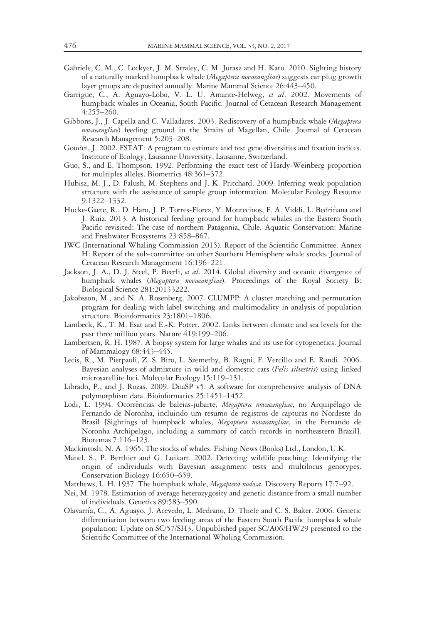- Gabriele, C. M., C. Lockyer, J. M. Straley, C. M. Jurasz and H. Kato. 2010. Sighting history of a naturally marked humpback whale (Megaptera novaeangliae) suggests ear plug growth layer groups are deposited annually. Marine Mammal Science 26:443–450.
- Garrigue, C., A. Aguayo-Lobo, V. L. U. Amante-Helweg, et al. 2002. Movements of humpback whales in Oceania, South Pacific. Journal of Cetacean Research Management 4:255–260.
- Gibbons, J., J. Capella and C. Valladares. 2003. Rediscovery of a humpback whale (Megaptera novaeangliae) feeding ground in the Straits of Magellan, Chile. Journal of Cetacean Research Management 5:203–208.
- Goudet, J. 2002. FSTAT: A program to estimate and test gene diversities and fixation indices. Institute of Ecology, Lausanne University, Lausanne, Switzerland.
- Guo, S., and E. Thompson. 1992. Performing the exact test of Hardy-Weinberg proportion for multiples alleles. Biometrics 48:361–372.
- Hubisz, M. J., D. Falush, M. Stephens and J. K. Pritchard. 2009. Inferring weak population structure with the assistance of sample group information. Molecular Ecology Resource 9:1322–1332.
- Hucke-Gaete, R., D. Haro, J. P. Torres-Florez, Y. Montecinos, F. A. Viddi, L. Bedriñana and J. Ruiz. 2013. A historical feeding ground for humpback whales in the Eastern South Pacific revisited: The case of northern Patagonia, Chile. Aquatic Conservation: Marine and Freshwater Ecosystems 23:858–867.
- IWC (International Whaling Commission 2015). Report of the Scientific Committee. Annex H: Report of the sub-committee on other Southern Hemisphere whale stocks. Journal of Cetacean Research Management 16:196–221.
- Jackson, J. A., D. J. Steel, P. Beerli, et al. 2014. Global diversity and oceanic divergence of humpback whales (Megaptera novaeangliae). Proceedings of the Royal Society B: Biological Science 281:20133222.
- Jakobsson, M., and N. A. Rosenberg. 2007. CLUMPP: A cluster matching and permutation program for dealing with label switching and multimodality in analysis of population structure. Bioinformatics 23:1801–1806.
- Lambeck, K., T. M. Esat and E.-K. Potter. 2002. Links between climate and sea levels for the past three million years. Nature 419:199–206.
- Lambertsen, R. H. 1987. A biopsy system for large whales and its use for cytogenetics. Journal of Mammalogy 68:443–445.
- Lecis, R., M. Pierpaoli, Z. S. Biro, L. Szemethy, B. Ragni, F. Vercillo and E. Randi. 2006. Bayesian analyses of admixture in wild and domestic cats (Felis silvestris) using linked microsatellite loci. Molecular Ecology 15:119–131.
- Librado, P., and J. Rozas. 2009. DnaSP v5: A software for comprehensive analysis of DNA polymorphism data. Bioinformatics 25:1451–1452.
- Lodi, L. 1994. Ocorrências de baleias-jubarte, Megaptera novaeangliae, no Arquipélago de Fernando de Noronha, incluindo um resumo de registros de capturas no Nordeste do Brasil [Sightings of humpback whales, *Megaptera novaeangliae*, in the Fernando de Noronha Archipelago, including a summary of catch records in northeastern Brazil]. Biotemas 7:116–123.
- Mackintosh, N. A. 1965. The stocks of whales. Fishing News (Books) Ltd., London, U.K.
- Manel, S., P. Berthier and G. Luikart. 2002. Detecting wildlife poaching: Identifying the origin of individuals with Bayesian assignment tests and multilocus genotypes. Conservation Biology 16:650–659.
- Matthews, L. H. 1937. The humpback whale, Megaptera nodosa. Discovery Reports 17:7–92.
- Nei, M. 1978. Estimation of average heterozygosity and genetic distance from a small number of individuals. Genetics 89:583–590.
- Olavarrıa, C., A. Aguayo, J. Acevedo, L. Medrano, D. Thiele and C. S. Baker. 2006. Genetic differentiation between two feeding areas of the Eastern South Pacific humpback whale population: Update on SC/57/SH3. Unpublished paper SC/A06/HW29 presented to the Scientific Committee of the International Whaling Commission.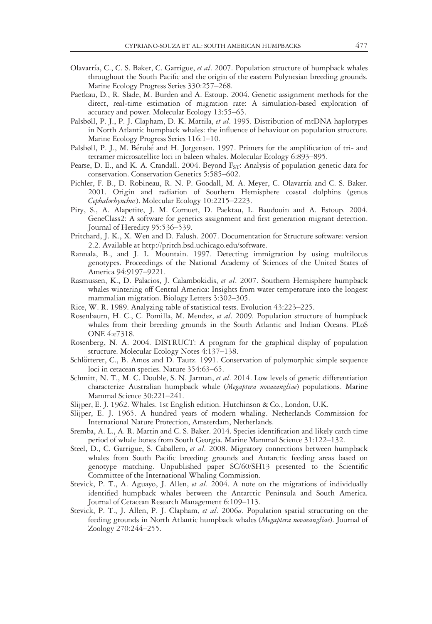- Olavarría, C., C. S. Baker, C. Garrigue, et al. 2007. Population structure of humpback whales throughout the South Pacific and the origin of the eastern Polynesian breeding grounds. Marine Ecology Progress Series 330:257–268.
- Paetkau, D., R. Slade, M. Burden and A. Estoup. 2004. Genetic assignment methods for the direct, real-time estimation of migration rate: A simulation-based exploration of accuracy and power. Molecular Ecology 13:55–65.
- Palsbøll, P. J., P. J. Clapham, D. K. Mattila, et al. 1995. Distribution of mtDNA haplotypes in North Atlantic humpback whales: the influence of behaviour on population structure. Marine Ecology Progress Series 116:1–10.
- Palsbøll, P. J., M. Bérubé and H. Jorgensen. 1997. Primers for the amplification of tri- and tetramer microsatellite loci in baleen whales. Molecular Ecology 6:893–895.
- Pearse, D. E., and K. A. Crandall. 2004. Beyond  $F_{ST}$ : Analysis of population genetic data for conservation. Conservation Genetics 5:585–602.
- Pichler, F. B., D. Robineau, R. N. P. Goodall, M. A. Meyer, C. Olavarría and C. S. Baker. 2001. Origin and radiation of Southern Hemisphere coastal dolphins (genus Cephalorhynchus). Molecular Ecology 10:2215–2223.
- Piry, S., A. Alapetite, J. M. Cornuet, D. Paektau, L. Baudouin and A. Estoup. 2004. GeneClass2: A software for genetics assignment and first generation migrant detection. Journal of Heredity 95:536–539.
- Pritchard, J. K., X. Wen and D. Falush. 2007. Documentation for Structure software: version 2.2. Available at [http://pritch.bsd.uchicago.edu/software.](http://pritch.bsd.uchicago.edu/software)
- Rannala, B., and J. L. Mountain. 1997. Detecting immigration by using multilocus genotypes. Proceedings of the National Academy of Sciences of the United States of America 94:9197–9221.
- Rasmussen, K., D. Palacios, J. Calambokidis, et al. 2007. Southern Hemisphere humpback whales wintering off Central America: Insights from water temperature into the longest mammalian migration. Biology Letters 3:302–305.
- Rice, W. R. 1989. Analyzing table of statistical tests. Evolution 43:223–225.
- Rosenbaum, H. C., C. Pomilla, M. Mendez, et al. 2009. Population structure of humpback whales from their breeding grounds in the South Atlantic and Indian Oceans. PLoS ONE 4:e7318.
- Rosenberg, N. A. 2004. DISTRUCT: A program for the graphical display of population structure. Molecular Ecology Notes 4:137–138.
- Schlötterer, C., B. Amos and D. Tautz. 1991. Conservation of polymorphic simple sequence loci in cetacean species. Nature 354:63–65.
- Schmitt, N. T., M. C. Double, S. N. Jarman, et al. 2014. Low levels of genetic differentiation characterize Australian humpback whale (Megaptera novaeangliae) populations. Marine Mammal Science 30:221–241.
- Slijper, E. J. 1962. Whales. 1st English edition. Hutchinson & Co., London, U.K.
- Slijper, E. J. 1965. A hundred years of modern whaling. Netherlands Commission for International Nature Protection, Amsterdam, Netherlands.
- Sremba, A. L., A. R. Martin and C. S. Baker. 2014. Species identification and likely catch time period of whale bones from South Georgia. Marine Mammal Science 31:122–132.
- Steel, D., C. Garrigue, S. Caballero, et al. 2008. Migratory connections between humpback whales from South Pacific breeding grounds and Antarctic feeding areas based on genotype matching. Unpublished paper SC/60/SH13 presented to the Scientific Committee of the International Whaling Commission.
- Stevick, P. T., A. Aguayo, J. Allen, et al. 2004. A note on the migrations of individually identified humpback whales between the Antarctic Peninsula and South America. Journal of Cetacean Research Management 6:109–113.
- Stevick, P. T., J. Allen, P. J. Clapham, et al. 2006a. Population spatial structuring on the feeding grounds in North Atlantic humpback whales (Megaptera novaeangliae). Journal of Zoology 270:244–255.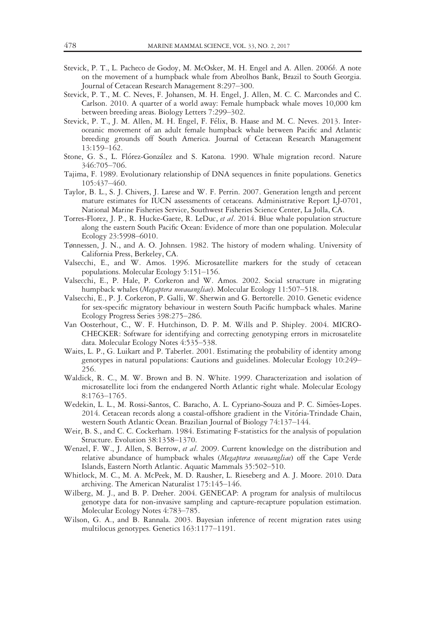- Stevick, P. T., L. Pacheco de Godoy, M. McOsker, M. H. Engel and A. Allen. 2006b. A note on the movement of a humpback whale from Abrolhos Bank, Brazil to South Georgia. Journal of Cetacean Research Management 8:297–300.
- Stevick, P. T., M. C. Neves, F. Johansen, M. H. Engel, J. Allen, M. C. C. Marcondes and C. Carlson. 2010. A quarter of a world away: Female humpback whale moves 10,000 km between breeding areas. Biology Letters 7:299–302.
- Stevick, P. T., J. M. Allen, M. H. Engel, F. Felix, B. Haase and M. C. Neves. 2013. Interoceanic movement of an adult female humpback whale between Pacific and Atlantic breeding grounds off South America. Journal of Cetacean Research Management 13:159–162.
- Stone, G. S., L. Florez-Gonzalez and S. Katona. 1990. Whale migration record. Nature 346:705–706.
- Tajima, F. 1989. Evolutionary relationship of DNA sequences in finite populations. Genetics 105:437–460.
- Taylor, B. L., S. J. Chivers, J. Larese and W. F. Perrin. 2007. Generation length and percent mature estimates for IUCN assessments of cetaceans. Administrative Report LJ-0701, National Marine Fisheries Service, Southwest Fisheries Science Center, La Jolla, CA.
- Torres-Florez, J. P., R. Hucke-Gaete, R. LeDuc, et al. 2014. Blue whale population structure along the eastern South Pacific Ocean: Evidence of more than one population. Molecular Ecology 23:5998–6010.
- Tønnessen, J. N., and A. O. Johnsen. 1982. The history of modern whaling. University of California Press, Berkeley, CA.
- Valsecchi, E., and W. Amos. 1996. Microsatellite markers for the study of cetacean populations. Molecular Ecology 5:151–156.
- Valsecchi, E., P. Hale, P. Corkeron and W. Amos. 2002. Social structure in migrating humpback whales (Megaptera novaeangliae). Molecular Ecology 11:507-518.
- Valsecchi, E., P. J. Corkeron, P. Galli, W. Sherwin and G. Bertorelle. 2010. Genetic evidence for sex-specific migratory behaviour in western South Pacific humpback whales. Marine Ecology Progress Series 398:275–286.
- Van Oosterhout, C., W. F. Hutchinson, D. P. M. Wills and P. Shipley. 2004. MICRO-CHECKER: Software for identifying and correcting genotyping errors in microsatelite data. Molecular Ecology Notes 4:535–538.
- Waits, L. P., G. Luikart and P. Taberlet. 2001. Estimating the probability of identity among genotypes in natural populations: Cautions and guidelines. Molecular Ecology 10:249– 256.
- Waldick, R. C., M. W. Brown and B. N. White. 1999. Characterization and isolation of microsatellite loci from the endangered North Atlantic right whale. Molecular Ecology 8:1763–1765.
- Wedekin, L. L., M. Rossi-Santos, C. Baracho, A. L. Cypriano-Souza and P. C. Simões-Lopes. 2014. Cetacean records along a coastal-offshore gradient in the Vitoria-Trindade Chain, western South Atlantic Ocean. Brazilian Journal of Biology 74:137–144.
- Weir, B. S., and C. C. Cockerham. 1984. Estimating F-statistics for the analysis of population Structure. Evolution 38:1358–1370.
- Wenzel, F. W., J. Allen, S. Berrow, et al. 2009. Current knowledge on the distribution and relative abundance of humpback whales (Megaptera novaeangliae) off the Cape Verde Islands, Eastern North Atlantic. Aquatic Mammals 35:502–510.
- Whitlock, M. C., M. A. McPeek, M. D. Rausher, L. Rieseberg and A. J. Moore. 2010. Data archiving. The American Naturalist 175:145–146.
- Wilberg, M. J., and B. P. Dreher. 2004. GENECAP: A program for analysis of multilocus genotype data for non-invasive sampling and capture-recapture population estimation. Molecular Ecology Notes 4:783–785.
- Wilson, G. A., and B. Rannala. 2003. Bayesian inference of recent migration rates using multilocus genotypes. Genetics 163:1177–1191.